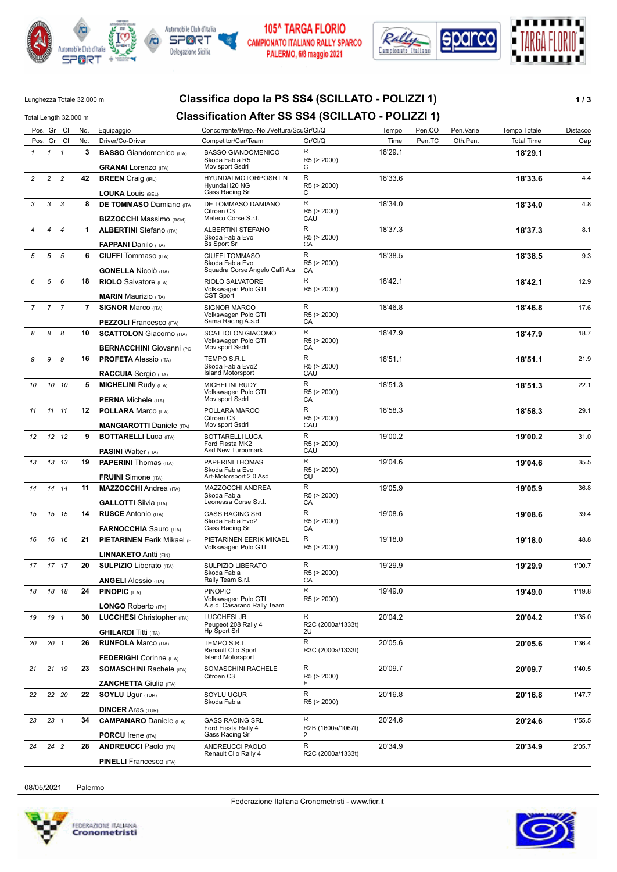







# Lunghezza Totale 32.000 m **Classifica dopo la PS SS4 (SCILLATO - POLIZZI 1) 1/3**

|                |                | Total Length 32.000 m |     | <b>Classification After SS SS4 (SCILLATO - POLIZZI 1)</b>         |                                                                       |                         |         |        |           |                   |          |
|----------------|----------------|-----------------------|-----|-------------------------------------------------------------------|-----------------------------------------------------------------------|-------------------------|---------|--------|-----------|-------------------|----------|
|                | Pos. Gr Cl     |                       | No. | Equipaggio                                                        | Concorrente/Prep.-Nol./Vettura/ScuGr/Cl/Q                             |                         | Tempo   | Pen.CO | Pen.Varie | Tempo Totale      | Distacco |
|                | Pos. Gr Cl     |                       | No. | Driver/Co-Driver                                                  | Competitor/Car/Team                                                   | Gr/Cl/Q                 | Time    | Pen.TC | Oth.Pen.  | <b>Total Time</b> | Gap      |
| $\mathcal I$   | $1 \quad 1$    |                       | 3   | <b>BASSO</b> Giandomenico (ITA)<br><b>GRANAI</b> Lorenzo (ITA)    | <b>BASSO GIANDOMENICO</b><br>Skoda Fabia R5<br><b>Movisport Ssdrl</b> | R<br>R5 (> 2000)<br>С   | 18'29.1 |        |           | 18'29.1           |          |
| $\overline{c}$ | $\overline{2}$ | $\overline{c}$        | 42  | <b>BREEN</b> Craig (IRL)                                          | HYUNDAI MOTORPOSRT N                                                  | R                       | 18'33.6 |        |           | 18'33.6           | 4.4      |
|                |                |                       |     | <b>LOUKA LOUIS (BEL)</b>                                          | Hyundai I20 NG<br>Gass Racing Srl                                     | R5 (> 2000)<br>С        |         |        |           |                   |          |
| 3              | 3 <sup>3</sup> |                       | 8   | <b>DE TOMMASO</b> Damiano (ITA                                    | DE TOMMASO DAMIANO                                                    | R                       | 18'34.0 |        |           | 18'34.0           | 4.8      |
|                |                |                       |     | <b>BIZZOCCHI</b> Massimo (RSM)                                    | Citroen C <sub>3</sub><br>Meteco Corse S.r.l.                         | R5 (> 2000)<br>CAU      |         |        |           |                   |          |
|                | 4              | $\overline{4}$        | 1.  | <b>ALBERTINI</b> Stefano (ITA)                                    | <b>ALBERTINI STEFANO</b>                                              | R                       | 18'37.3 |        |           | 18'37.3           | 8.1      |
|                |                |                       |     | <b>FAPPANI</b> Danilo (ITA)                                       | Skoda Fabia Evo<br><b>Bs Sport Srl</b>                                | R5 (> 2000)<br>CA       |         |        |           |                   |          |
| 5              | 5              | 5                     | 6   | <b>CIUFFI</b> Tommaso (ITA)                                       | <b>CIUFFI TOMMASO</b><br>Skoda Fabia Evo                              | R<br>R5 (> 2000)        | 18'38.5 |        |           | 18'38.5           | 9.3      |
|                |                |                       |     | <b>GONELLA Nicolò</b> (ITA)                                       | Squadra Corse Angelo Caffi A.s                                        | CA                      |         |        |           |                   |          |
| 6              | 6              | 6                     | 18  | <b>RIOLO</b> Salvatore (ITA)<br><b>MARIN Maurizio (ITA)</b>       | RIOLO SALVATORE<br>Volkswagen Polo GTI<br><b>CST Sport</b>            | R<br>R5 (> 2000)        | 18'42.1 |        |           | 18'42.1           | 12.9     |
| $\overline{7}$ | $\overline{7}$ | $\overline{7}$        | 7   | <b>SIGNOR Marco (ITA)</b>                                         | SIGNOR MARCO                                                          | R                       | 18'46.8 |        |           | 18'46.8           | 17.6     |
|                |                |                       |     | <b>PEZZOLI</b> Francesco (ITA)                                    | Volkswagen Polo GTI<br>Sama Racing A.s.d.                             | R5 (> 2000)<br>СA       |         |        |           |                   |          |
| 8              | 8              | $\boldsymbol{8}$      | 10  | <b>SCATTOLON</b> Giacomo (ITA)                                    | SCATTOLON GIACOMO                                                     | R                       | 18'47.9 |        |           | 18'47.9           | 18.7     |
|                |                |                       |     | <b>BERNACCHINI Giovanni (PO</b>                                   | Volkswagen Polo GTI<br><b>Movisport Ssdrl</b>                         | R5 (> 2000)<br>СA       |         |        |           |                   |          |
| 9              | 9              | 9                     | 16  | <b>PROFETA Alessio (ITA)</b>                                      | TEMPO S.R.L.                                                          | R                       | 18'51.1 |        |           | 18'51.1           | 21.9     |
|                |                |                       |     | <b>RACCUIA</b> Sergio (ITA)                                       | Skoda Fabia Evo2<br><b>Island Motorsport</b>                          | R5 (> 2000)<br>CAU      |         |        |           |                   |          |
| 10             |                | 10 10                 | 5   | <b>MICHELINI Rudy (ITA)</b>                                       | <b>MICHELINI RUDY</b>                                                 | R                       | 18'51.3 |        |           | 18'51.3           | 22.1     |
|                |                |                       |     | <b>PERNA Michele (ITA)</b>                                        | Volkswagen Polo GTI<br>Movisport Ssdrl                                | R5 (> 2000)<br>СA       |         |        |           |                   |          |
| 11             |                | 11 11                 | 12  | <b>POLLARA Marco (ITA)</b>                                        | POLLARA MARCO                                                         | R                       | 18'58.3 |        |           | 18'58.3           | 29.1     |
|                |                |                       |     |                                                                   | Citroen C3<br>Movisport Ssdrl                                         | R5 (> 2000)<br>CAU      |         |        |           |                   |          |
| 12             |                | 12 12                 | 9   | <b>MANGIAROTTI</b> Daniele (ITA)<br><b>BOTTARELLI Luca (ITA)</b>  | BOTTARELLI LUCA                                                       | R                       | 19'00.2 |        |           | 19'00.2           | 31.0     |
|                |                |                       |     |                                                                   | Ford Fiesta MK2<br>Asd New Turbomark                                  | R5 (> 2000)             |         |        |           |                   |          |
| 13             |                | 13 13                 | 19  | <b>PASINI Walter (ITA)</b><br><b>PAPERINI</b> Thomas (ITA)        | PAPERINI THOMAS                                                       | CAU<br>R                | 19'04.6 |        |           | 19'04.6           | 35.5     |
|                |                |                       |     |                                                                   | Skoda Fabia Evo                                                       | R5 (> 2000)             |         |        |           |                   |          |
|                |                |                       |     | <b>FRUINI</b> Simone (ITA)                                        | Art-Motorsport 2.0 Asd                                                | CU<br>R                 |         |        |           |                   |          |
| 14             |                | 14 14                 | 11  | <b>MAZZOCCHI</b> Andrea (ITA)                                     | MAZZOCCHI ANDREA<br>Skoda Fabia                                       | R5 (> 2000)             | 19'05.9 |        |           | 19'05.9           | 36.8     |
|                |                |                       |     | <b>GALLOTTI</b> Silvia (ITA)                                      | Leonessa Corse S.r.l.                                                 | CA                      |         |        |           |                   |          |
| 15             |                | 15 15                 | 14  | <b>RUSCE Antonio (ITA)</b>                                        | <b>GASS RACING SRL</b><br>Skoda Fabia Evo2                            | R<br>R5 (> 2000)        | 19'08.6 |        |           | 19'08.6           | 39.4     |
|                |                |                       |     | <b>FARNOCCHIA Sauro (ITA)</b>                                     | Gass Racing Srl                                                       | СA                      |         |        |           |                   |          |
| 16             |                | 16 16                 | 21  | <b>PIETARINEN Eerik Mikael (F</b>                                 | PIETARINEN EERIK MIKAEL<br>Volkswagen Polo GTI                        | R<br>R5 (> 2000)        | 19'18.0 |        |           | 19'18.0           | 48.8     |
|                |                |                       |     | <b>LINNAKETO Antti (FIN)</b>                                      |                                                                       |                         |         |        |           |                   |          |
| 17             |                | 17 17                 | 20  | <b>SULPIZIO</b> Liberato (ITA)                                    | <b>SULPIZIO LIBERATO</b>                                              | R                       | 19'29.9 |        |           | 19'29.9           | 1'00.7   |
|                |                |                       |     | <b>ANGELI</b> Alessio (ITA)                                       | Skoda Fabia<br>Rally Team S.r.l.                                      | R5 (> 2000)<br>CA       |         |        |           |                   |          |
| 18             |                | 18 18                 | 24  | <b>PINOPIC (ITA)</b>                                              | <b>PINOPIC</b>                                                        | R                       | 19'49.0 |        |           | 19'49.0           | 1'19.8   |
|                |                |                       |     | <b>LONGO Roberto (ITA)</b>                                        | Volkswagen Polo GTI<br>A.s.d. Casarano Rally Team                     | R5 (> 2000)             |         |        |           |                   |          |
| 19             | 19 1           |                       | 30  | <b>LUCCHESI</b> Christopher (ITA)                                 | <b>LUCCHESI JR</b>                                                    | R                       | 20'04.2 |        |           | 20'04.2           | 1'35.0   |
|                |                |                       |     | <b>GHILARDI Titti (ITA)</b>                                       | Peugeot 208 Rally 4<br>Hp Sport Srl                                   | R2C (2000a/1333t)<br>2U |         |        |           |                   |          |
| 20             | $20 \t1$       |                       | 26  | <b>RUNFOLA Marco (ITA)</b>                                        | TEMPO S.R.L.                                                          | R                       | 20'05.6 |        |           | 20'05.6           | 1'36.4   |
|                |                |                       |     |                                                                   | Renault Clio Sport<br><b>Island Motorsport</b>                        | R3C (2000a/1333t)       |         |        |           |                   |          |
| 21             |                | 21 19                 | 23  | <b>FEDERIGHI</b> Corinne (ITA)<br><b>SOMASCHINI Rachele (ITA)</b> | SOMASCHINI RACHELE                                                    | R                       | 20'09.7 |        |           | 20'09.7           | 1'40.5   |
|                |                |                       |     |                                                                   | Citroen C3                                                            | R5 (> 2000)             |         |        |           |                   |          |
|                |                |                       |     | <b>ZANCHETTA Giulia (ITA)</b>                                     |                                                                       | F<br>R                  |         |        |           |                   |          |
| 22             |                | 22 20                 | 22  | <b>SOYLU Ugur (TUR)</b>                                           | SOYLU UGUR<br>Skoda Fabia                                             | R5 (> 2000)             | 20'16.8 |        |           | 20'16.8           | 1'47.7   |
|                |                |                       |     | <b>DINCER Aras (TUR)</b>                                          |                                                                       |                         |         |        |           |                   |          |
| 23             | $23 \quad 1$   |                       | 34  | <b>CAMPANARO</b> Daniele (ITA)                                    | <b>GASS RACING SRL</b><br>Ford Fiesta Rally 4                         | R<br>R2B (1600a/1067t)  | 20'24.6 |        |           | 20'24.6           | 1'55.5   |
|                |                |                       |     | <b>PORCU</b> Irene (ITA)                                          | Gass Racing Srl                                                       | 2                       |         |        |           |                   |          |
| 24             | 24 2           |                       | 28  | <b>ANDREUCCI Paolo (ITA)</b>                                      | ANDREUCCI PAOLO<br>Renault Clio Rally 4                               | R<br>R2C (2000a/1333t)  | 20'34.9 |        |           | 20'34.9           | 2'05.7   |
|                |                |                       |     |                                                                   |                                                                       |                         |         |        |           |                   |          |

### 08/05/2021 Palermo



**PINELLI** Francesco (ITA)

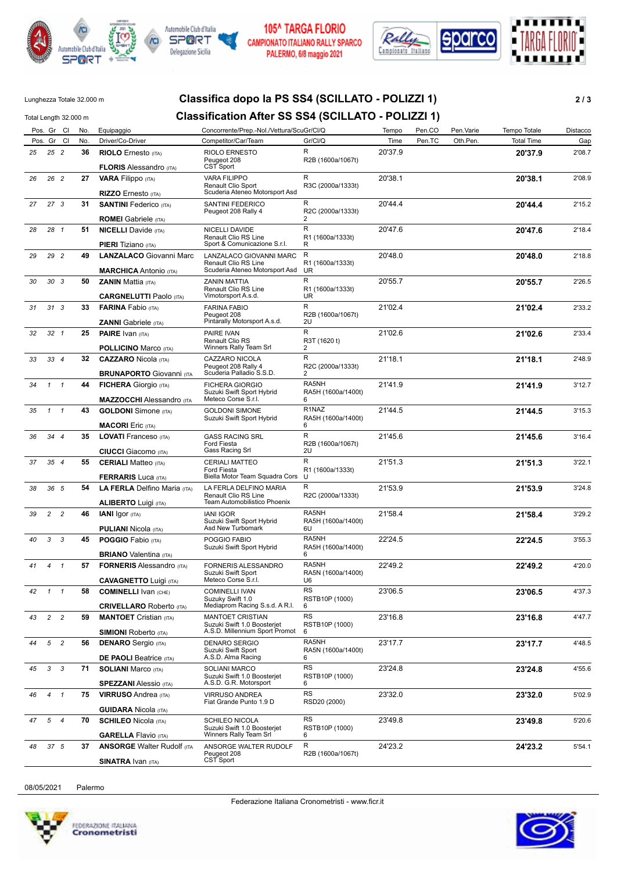







# Lunghezza Totale 32.000 m **Classifica dopo la PS SS4 (SCILLATO - POLIZZI 1) 2 / 3**

# Total Length 32.000 m **Classification After SS SS4 (SCILLATO - POLIZZI 1)**

|    | Pos. Gr Cl      |                | No. | Equipaggio                                                       | Concorrente/Prep.-Nol./Vettura/ScuGr/Cl/Q                                         |                                       | Tempo   | Pen.CO | Pen.Varie | Tempo Totale      | Distacco |
|----|-----------------|----------------|-----|------------------------------------------------------------------|-----------------------------------------------------------------------------------|---------------------------------------|---------|--------|-----------|-------------------|----------|
|    | Pos. Gr Cl      |                | No. | Driver/Co-Driver                                                 | Competitor/Car/Team                                                               | Gr/Cl/Q                               | Time    | Pen.TC | Oth.Pen.  | <b>Total Time</b> | Gap      |
| 25 | 25 2            |                | 36  | <b>RIOLO</b> Ernesto (ITA)                                       | <b>RIOLO ERNESTO</b><br>Peugeot 208                                               | $\mathsf{R}$<br>R2B (1600a/1067t)     | 20'37.9 |        |           | 20'37.9           | 2'08.7   |
|    |                 |                |     | <b>FLORIS Alessandro (ITA)</b>                                   | CST Sport                                                                         |                                       |         |        |           |                   |          |
| 26 | 26 2            |                | 27  | <b>VARA Filippo</b> (ITA)<br><b>RIZZO</b> Ernesto (ITA)          | <b>VARA FILIPPO</b><br>Renault Clio Sport<br>Scuderia Ateneo Motorsport Asd       | R<br>R3C (2000a/1333t)                | 20'38.1 |        |           | 20'38.1           | 2'08.9   |
| 27 | 27 <sub>3</sub> |                | 31  | <b>SANTINI Federico</b> (ITA)                                    | SANTINI FEDERICO                                                                  | R                                     | 20'44.4 |        |           | 20'44.4           | 2'15.2   |
|    |                 |                |     | <b>ROMEI</b> Gabriele (ITA)                                      | Peugeot 208 Rally 4                                                               | R2C (2000a/1333t)<br>2                |         |        |           |                   |          |
| 28 | 28 1            |                | 51  | <b>NICELLI</b> Davide (ITA)                                      | NICELLI DAVIDE                                                                    | R                                     | 20'47.6 |        |           | 20'47.6           | 2'18.4   |
|    |                 |                |     | <b>PIERI</b> Tiziano (ITA)                                       | Renault Clio RS Line<br>Sport & Comunicazione S.r.l.                              | R1 (1600a/1333t)<br>R                 |         |        |           |                   |          |
| 29 | 29 2            |                | 49  | <b>LANZALACO Giovanni Marc</b><br><b>MARCHICA</b> Antonio (ITA)  | LANZALACO GIOVANNI MARC<br>Renault Clio RS Line<br>Scuderia Ateneo Motorsport Asd | R<br>R1 (1600a/1333t)<br>UR           | 20'48.0 |        |           | 20'48.0           | 2'18.8   |
| 30 | 30 <sub>3</sub> |                | 50  | <b>ZANIN Mattia (ITA)</b><br><b>CARGNELUTTI Paolo (ITA)</b>      | ZANIN MATTIA<br><b>Renault Clio RS Line</b><br>Vimotorsport A.s.d.                | R<br>R1 (1600a/1333t)<br>UR           | 20'55.7 |        |           | 20'55.7           | 2'26.5   |
| 31 | 313             |                | 33  | <b>FARINA</b> Fabio (ITA)                                        | <b>FARINA FABIO</b>                                                               | R                                     | 21'02.4 |        |           | 21'02.4           | 2'33.2   |
|    |                 |                |     | <b>ZANNI</b> Gabriele (ITA)                                      | Peugeot 208<br>Pintarally Motorsport A.s.d.                                       | R2B (1600a/1067t)<br>2U               |         |        |           |                   |          |
| 32 | $32 \quad 1$    |                | 25  | <b>PAIRE</b> Ivan (ITA)                                          | PAIRE IVAN<br>Renault Clio RS                                                     | $\mathsf{R}$<br>R3T (1620 t)          | 21'02.6 |        |           | 21'02.6           | 2'33.4   |
|    |                 |                |     | <b>POLLICINO Marco (ITA)</b>                                     | Winners Rally Team Srl                                                            | 2                                     |         |        |           |                   |          |
| 33 | 334             |                | 32  | <b>CAZZARO</b> Nicola (ITA)                                      | CAZZARO NICOLA<br>Peugeot 208 Rally 4<br>Scuderia Palladio S.S.D.                 | R<br>R2C (2000a/1333t)<br>2           | 21'18.1 |        |           | 21'18.1           | 2'48.9   |
|    |                 |                |     | <b>BRUNAPORTO Giovanni (ITA</b>                                  | <b>FICHERA GIORGIO</b>                                                            | RA5NH                                 | 21'41.9 |        |           |                   | 3'12.7   |
| 34 | $\mathcal{I}$   | $\mathbf{1}$   | 44  | <b>FICHERA</b> Giorgio (ITA)<br><b>MAZZOCCHI</b> Alessandro (ITA | Suzuki Swift Sport Hybrid<br>Meteco Corse S.r.l.                                  | RA5H (1600a/1400t)<br>6               |         |        |           | 21'41.9           |          |
| 35 | $1 \quad 1$     |                | 43  | <b>GOLDONI</b> Simone (ITA)                                      | <b>GOLDONI SIMONE</b>                                                             | R <sub>1</sub> NAZ                    | 21'44.5 |        |           | 21'44.5           | 3'15.3   |
|    |                 |                |     |                                                                  | Suzuki Swift Sport Hybrid                                                         | RA5H (1600a/1400t)                    |         |        |           |                   |          |
| 36 | 34 4            |                | 35  | <b>MACORI</b> Eric (ITA)                                         | <b>GASS RACING SRL</b>                                                            | 6<br>R                                | 21'45.6 |        |           |                   | 3'16.4   |
|    |                 |                |     | <b>LOVATI</b> Franceso (ITA)                                     | Ford Fiesta                                                                       | R2B (1600a/1067t)                     |         |        |           | 21'45.6           |          |
|    |                 |                |     | <b>CIUCCI</b> Giacomo (ITA)                                      | Gass Racing Srl                                                                   | 2U                                    |         |        |           |                   |          |
| 37 | 35 4            |                | 55  | <b>CERIALI</b> Matteo (ITA)<br><b>FERRARIS Luca (ITA)</b>        | <b>CERIALI MATTEO</b><br><b>Ford Fiesta</b><br>Biella Motor Team Squadra Cors     | $\mathsf{R}$<br>R1 (1600a/1333t)<br>U | 21'51.3 |        |           | 21'51.3           | 3'22.1   |
| 38 | 36 5            |                | 54  | LA FERLA Delfino Maria (ITA)                                     | LA FERLA DELFINO MARIA                                                            | R                                     | 21'53.9 |        |           | 21'53.9           | 3'24.8   |
|    |                 |                |     | <b>ALIBERTO Luigi (ITA)</b>                                      | <b>Renault Clio RS Line</b><br>Team Automobilistico Phoenix                       | R2C (2000a/1333t)                     |         |        |           |                   |          |
| 39 | $\mathbf{2}$    | $\overline{c}$ | 46  | <b>IANI</b> Igor (ITA)                                           | <b>IANI IGOR</b><br>Suzuki Swift Sport Hybrid                                     | RA5NH<br>RA5H (1600a/1400t)           | 21'58.4 |        |           | 21'58.4           | 3'29.2   |
|    |                 |                |     | <b>PULIANI</b> Nicola (ITA)                                      | Asd New Turbomark                                                                 | 6U                                    |         |        |           |                   |          |
| 40 | 3               | 3              | 45  | <b>POGGIO</b> Fabio (ITA)<br><b>BRIANO</b> Valentina (ITA)       | POGGIO FABIO<br>Suzuki Swift Sport Hybrid                                         | RA5NH<br>RA5H (1600a/1400t)<br>6      | 22'24.5 |        |           | 22'24.5           | 3'55.3   |
| 41 | 4               | $\mathbf{1}$   | 57  | <b>FORNERIS Alessandro (ITA)</b>                                 | FORNERIS ALESSANDRO                                                               | RA5NH                                 | 22'49.2 |        |           | 22'49.2           | 4'20.0   |
|    |                 |                |     | <b>CAVAGNETTO Luigi (ITA)</b>                                    | Suzuki Swift Sport<br>Meteco Corse S.r.l.                                         | RA5N (1600a/1400t)<br>U6              |         |        |           |                   |          |
| 42 | $1 \quad 1$     |                | 58  | <b>COMINELLI Ivan (CHE)</b><br><b>CRIVELLARO</b> Roberto (ITA)   | <b>COMINELLI IVAN</b><br>Suzuky Swift 1.0<br>Mediaprom Racing S.s.d. A R.I.       | RS<br>RSTB10P (1000)<br>6             | 23'06.5 |        |           | 23'06.5           | 4'37.3   |
| 43 | $\overline{2}$  | $\overline{c}$ | 59  | <b>MANTOET</b> Cristian (ITA)                                    | MANTOET CRISTIAN                                                                  | <b>RS</b>                             | 23'16.8 |        |           | 23'16.8           | 4'47.7   |
|    |                 |                |     | <b>SIMIONI</b> Roberto (ITA)                                     | Suzuki Swift 1.0 Boosterjet<br>A.S.D. Millennium Sport Promot                     | RSTB10P (1000)<br>6                   |         |        |           |                   |          |
| 44 | 5               | $\overline{c}$ | 56  | <b>DENARO</b> Sergio (ITA)                                       | <b>DENARO SERGIO</b>                                                              | RA5NH                                 | 23'17.7 |        |           | 23'17.7           | 4'48.5   |
|    |                 |                |     | <b>DE PAOLI</b> Beatrice (ITA)                                   | Suzuki Swift Sport<br>A.S.D. Alma Racing                                          | RA5N (1600a/1400t)<br>6               |         |        |           |                   |          |
| 45 | $\mathbf{3}$    | 3              | 71  | <b>SOLIANI Marco (ITA)</b><br><b>SPEZZANI</b> Alessio (ITA)      | SOLIANI MARCO<br>Suzuki Swift 1.0 Boosterjet<br>A.S.D. G.R. Motorsport            | <b>RS</b><br>RSTB10P (1000)<br>6      | 23'24.8 |        |           | 23'24.8           | 4'55.6   |
| 46 | $\overline{4}$  | $\overline{1}$ | 75  | <b>VIRRUSO</b> Andrea (ITA)                                      | VIRRUSO ANDREA                                                                    | <b>RS</b>                             | 23'32.0 |        |           | 23'32.0           | 5'02.9   |
|    |                 |                |     | <b>GUIDARA Nicola (ITA)</b>                                      | Fiat Grande Punto 1.9 D                                                           | RSD20 (2000)                          |         |        |           |                   |          |
| 47 | 5               | $\overline{4}$ | 70  | <b>SCHILEO Nicola (ITA)</b>                                      | SCHILEO NICOLA                                                                    | <b>RS</b>                             | 23'49.8 |        |           | 23'49.8           | 5'20.6   |
|    |                 |                |     | <b>GARELLA Flavio (ITA)</b>                                      | Suzuki Swift 1.0 Boosterjet<br>Winners Rally Team Srl                             | RSTB10P (1000)<br>6                   |         |        |           |                   |          |
| 48 | 37 <sub>5</sub> |                | 37  | <b>ANSORGE Walter Rudolf (ITA</b>                                | ANSORGE WALTER RUDOLF                                                             | R                                     | 24'23.2 |        |           | 24'23.2           | 5'54.1   |
|    |                 |                |     | <b>SINATRA IVAN (ITA)</b>                                        | Peugeot 208<br>CST Sport                                                          | R2B (1600a/1067t)                     |         |        |           |                   |          |
|    |                 |                |     |                                                                  |                                                                                   |                                       |         |        |           |                   |          |

08/05/2021 Palermo